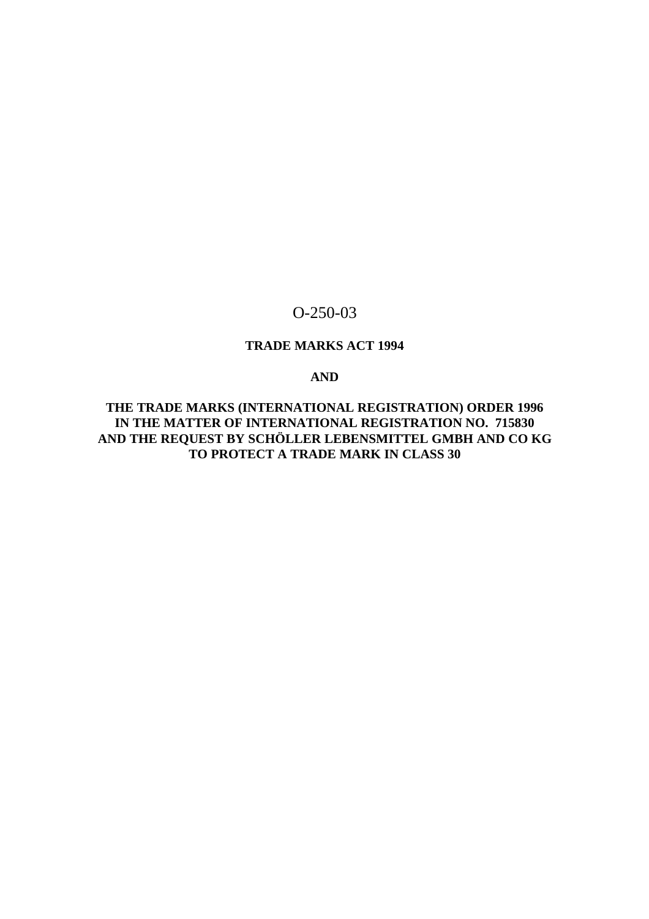# O-250-03

# **TRADE MARKS ACT 1994**

# **AND**

**THE TRADE MARKS (INTERNATIONAL REGISTRATION) ORDER 1996 IN THE MATTER OF INTERNATIONAL REGISTRATION NO. 715830 AND THE REQUEST BY SCHÖLLER LEBENSMITTEL GMBH AND CO KG TO PROTECT A TRADE MARK IN CLASS 30**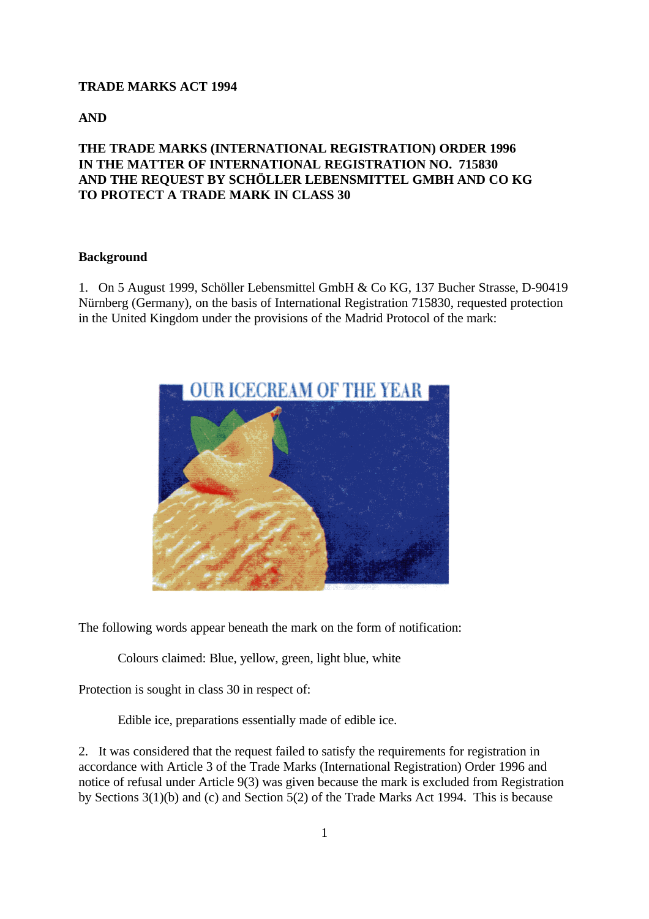#### **TRADE MARKS ACT 1994**

**AND**

# **THE TRADE MARKS (INTERNATIONAL REGISTRATION) ORDER 1996 IN THE MATTER OF INTERNATIONAL REGISTRATION NO. 715830 AND THE REQUEST BY SCHÖLLER LEBENSMITTEL GMBH AND CO KG TO PROTECT A TRADE MARK IN CLASS 30**

#### **Background**

1. On 5 August 1999, Schöller Lebensmittel GmbH & Co KG, 137 Bucher Strasse, D-90419 Nürnberg (Germany), on the basis of International Registration 715830, requested protection in the United Kingdom under the provisions of the Madrid Protocol of the mark:



The following words appear beneath the mark on the form of notification:

Colours claimed: Blue, yellow, green, light blue, white

Protection is sought in class 30 in respect of:

Edible ice, preparations essentially made of edible ice.

2. It was considered that the request failed to satisfy the requirements for registration in accordance with Article 3 of the Trade Marks (International Registration) Order 1996 and notice of refusal under Article 9(3) was given because the mark is excluded from Registration by Sections 3(1)(b) and (c) and Section 5(2) of the Trade Marks Act 1994. This is because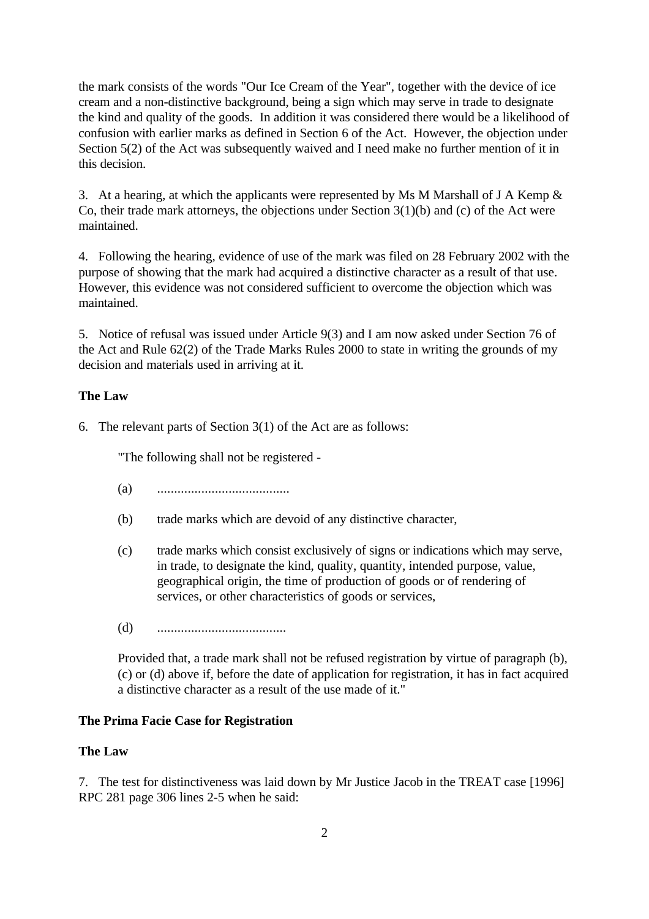the mark consists of the words "Our Ice Cream of the Year", together with the device of ice cream and a non-distinctive background, being a sign which may serve in trade to designate the kind and quality of the goods. In addition it was considered there would be a likelihood of confusion with earlier marks as defined in Section 6 of the Act. However, the objection under Section 5(2) of the Act was subsequently waived and I need make no further mention of it in this decision.

3. At a hearing, at which the applicants were represented by Ms M Marshall of J A Kemp & Co, their trade mark attorneys, the objections under Section 3(1)(b) and (c) of the Act were maintained.

4. Following the hearing, evidence of use of the mark was filed on 28 February 2002 with the purpose of showing that the mark had acquired a distinctive character as a result of that use. However, this evidence was not considered sufficient to overcome the objection which was maintained.

5. Notice of refusal was issued under Article 9(3) and I am now asked under Section 76 of the Act and Rule 62(2) of the Trade Marks Rules 2000 to state in writing the grounds of my decision and materials used in arriving at it.

#### **The Law**

6. The relevant parts of Section 3(1) of the Act are as follows:

"The following shall not be registered -

(a) .......................................

- (b) trade marks which are devoid of any distinctive character,
- (c) trade marks which consist exclusively of signs or indications which may serve, in trade, to designate the kind, quality, quantity, intended purpose, value, geographical origin, the time of production of goods or of rendering of services, or other characteristics of goods or services,
- (d) ......................................

Provided that, a trade mark shall not be refused registration by virtue of paragraph (b), (c) or (d) above if, before the date of application for registration, it has in fact acquired a distinctive character as a result of the use made of it."

#### **The Prima Facie Case for Registration**

#### **The Law**

7. The test for distinctiveness was laid down by Mr Justice Jacob in the TREAT case [1996] RPC 281 page 306 lines 2-5 when he said: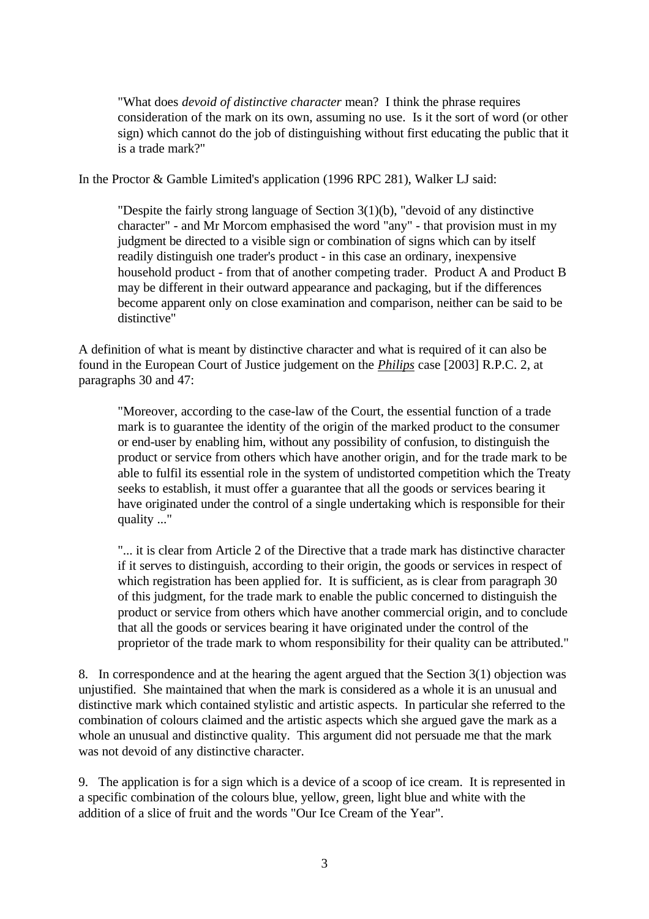"What does *devoid of distinctive character* mean? I think the phrase requires consideration of the mark on its own, assuming no use. Is it the sort of word (or other sign) which cannot do the job of distinguishing without first educating the public that it is a trade mark?"

In the Proctor & Gamble Limited's application (1996 RPC 281), Walker LJ said:

"Despite the fairly strong language of Section 3(1)(b), "devoid of any distinctive character" - and Mr Morcom emphasised the word "any" - that provision must in my judgment be directed to a visible sign or combination of signs which can by itself readily distinguish one trader's product - in this case an ordinary, inexpensive household product - from that of another competing trader. Product A and Product B may be different in their outward appearance and packaging, but if the differences become apparent only on close examination and comparison, neither can be said to be distinctive"

A definition of what is meant by distinctive character and what is required of it can also be found in the European Court of Justice judgement on the *Philips* case [2003] R.P.C. 2, at paragraphs 30 and 47:

"Moreover, according to the case-law of the Court, the essential function of a trade mark is to guarantee the identity of the origin of the marked product to the consumer or end-user by enabling him, without any possibility of confusion, to distinguish the product or service from others which have another origin, and for the trade mark to be able to fulfil its essential role in the system of undistorted competition which the Treaty seeks to establish, it must offer a guarantee that all the goods or services bearing it have originated under the control of a single undertaking which is responsible for their quality ..."

"... it is clear from Article 2 of the Directive that a trade mark has distinctive character if it serves to distinguish, according to their origin, the goods or services in respect of which registration has been applied for. It is sufficient, as is clear from paragraph 30 of this judgment, for the trade mark to enable the public concerned to distinguish the product or service from others which have another commercial origin, and to conclude that all the goods or services bearing it have originated under the control of the proprietor of the trade mark to whom responsibility for their quality can be attributed."

8. In correspondence and at the hearing the agent argued that the Section 3(1) objection was unjustified. She maintained that when the mark is considered as a whole it is an unusual and distinctive mark which contained stylistic and artistic aspects. In particular she referred to the combination of colours claimed and the artistic aspects which she argued gave the mark as a whole an unusual and distinctive quality. This argument did not persuade me that the mark was not devoid of any distinctive character.

9. The application is for a sign which is a device of a scoop of ice cream. It is represented in a specific combination of the colours blue, yellow, green, light blue and white with the addition of a slice of fruit and the words "Our Ice Cream of the Year".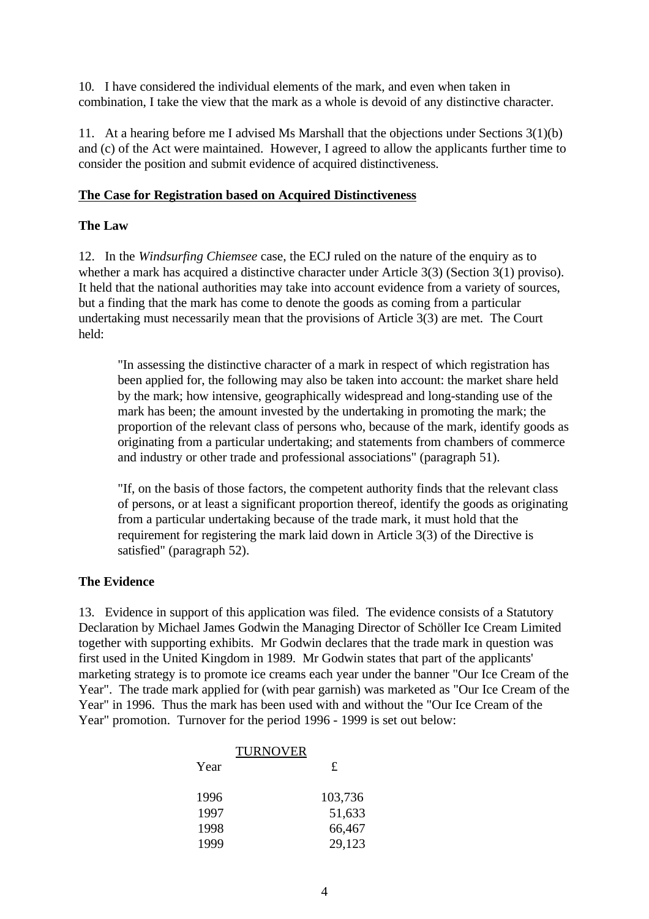10. I have considered the individual elements of the mark, and even when taken in combination, I take the view that the mark as a whole is devoid of any distinctive character.

11. At a hearing before me I advised Ms Marshall that the objections under Sections 3(1)(b) and (c) of the Act were maintained. However, I agreed to allow the applicants further time to consider the position and submit evidence of acquired distinctiveness.

#### **The Case for Registration based on Acquired Distinctiveness**

#### **The Law**

12. In the *Windsurfing Chiemsee* case, the ECJ ruled on the nature of the enquiry as to whether a mark has acquired a distinctive character under Article 3(3) (Section 3(1) proviso). It held that the national authorities may take into account evidence from a variety of sources, but a finding that the mark has come to denote the goods as coming from a particular undertaking must necessarily mean that the provisions of Article 3(3) are met. The Court held:

"In assessing the distinctive character of a mark in respect of which registration has been applied for, the following may also be taken into account: the market share held by the mark; how intensive, geographically widespread and long-standing use of the mark has been; the amount invested by the undertaking in promoting the mark; the proportion of the relevant class of persons who, because of the mark, identify goods as originating from a particular undertaking; and statements from chambers of commerce and industry or other trade and professional associations" (paragraph 51).

"If, on the basis of those factors, the competent authority finds that the relevant class of persons, or at least a significant proportion thereof, identify the goods as originating from a particular undertaking because of the trade mark, it must hold that the requirement for registering the mark laid down in Article 3(3) of the Directive is satisfied" (paragraph 52).

#### **The Evidence**

13. Evidence in support of this application was filed. The evidence consists of a Statutory Declaration by Michael James Godwin the Managing Director of Schöller Ice Cream Limited together with supporting exhibits. Mr Godwin declares that the trade mark in question was first used in the United Kingdom in 1989. Mr Godwin states that part of the applicants' marketing strategy is to promote ice creams each year under the banner "Our Ice Cream of the Year". The trade mark applied for (with pear garnish) was marketed as "Our Ice Cream of the Year" in 1996. Thus the mark has been used with and without the "Our Ice Cream of the Year" promotion. Turnover for the period 1996 - 1999 is set out below:

| <b>TURNOVER</b> |         |
|-----------------|---------|
| Year            | £       |
| 1996            | 103,736 |
| 1997            | 51,633  |
| 1998            | 66,467  |
| 1999            | 29,123  |
|                 |         |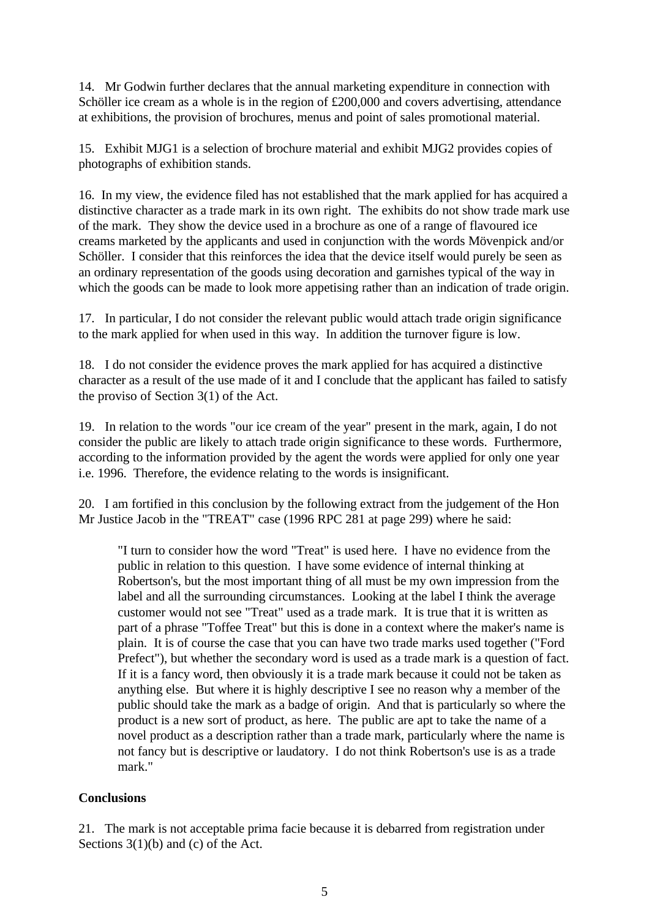14. Mr Godwin further declares that the annual marketing expenditure in connection with Schöller ice cream as a whole is in the region of £200,000 and covers advertising, attendance at exhibitions, the provision of brochures, menus and point of sales promotional material.

15. Exhibit MJG1 is a selection of brochure material and exhibit MJG2 provides copies of photographs of exhibition stands.

16. In my view, the evidence filed has not established that the mark applied for has acquired a distinctive character as a trade mark in its own right. The exhibits do not show trade mark use of the mark. They show the device used in a brochure as one of a range of flavoured ice creams marketed by the applicants and used in conjunction with the words Mövenpick and/or Schöller. I consider that this reinforces the idea that the device itself would purely be seen as an ordinary representation of the goods using decoration and garnishes typical of the way in which the goods can be made to look more appetising rather than an indication of trade origin.

17. In particular, I do not consider the relevant public would attach trade origin significance to the mark applied for when used in this way. In addition the turnover figure is low.

18. I do not consider the evidence proves the mark applied for has acquired a distinctive character as a result of the use made of it and I conclude that the applicant has failed to satisfy the proviso of Section 3(1) of the Act.

19. In relation to the words "our ice cream of the year" present in the mark, again, I do not consider the public are likely to attach trade origin significance to these words. Furthermore, according to the information provided by the agent the words were applied for only one year i.e. 1996. Therefore, the evidence relating to the words is insignificant.

20. I am fortified in this conclusion by the following extract from the judgement of the Hon Mr Justice Jacob in the "TREAT" case (1996 RPC 281 at page 299) where he said:

"I turn to consider how the word "Treat" is used here. I have no evidence from the public in relation to this question. I have some evidence of internal thinking at Robertson's, but the most important thing of all must be my own impression from the label and all the surrounding circumstances. Looking at the label I think the average customer would not see "Treat" used as a trade mark. It is true that it is written as part of a phrase "Toffee Treat" but this is done in a context where the maker's name is plain. It is of course the case that you can have two trade marks used together ("Ford Prefect"), but whether the secondary word is used as a trade mark is a question of fact. If it is a fancy word, then obviously it is a trade mark because it could not be taken as anything else. But where it is highly descriptive I see no reason why a member of the public should take the mark as a badge of origin. And that is particularly so where the product is a new sort of product, as here. The public are apt to take the name of a novel product as a description rather than a trade mark, particularly where the name is not fancy but is descriptive or laudatory. I do not think Robertson's use is as a trade mark."

# **Conclusions**

21. The mark is not acceptable prima facie because it is debarred from registration under Sections 3(1)(b) and (c) of the Act.